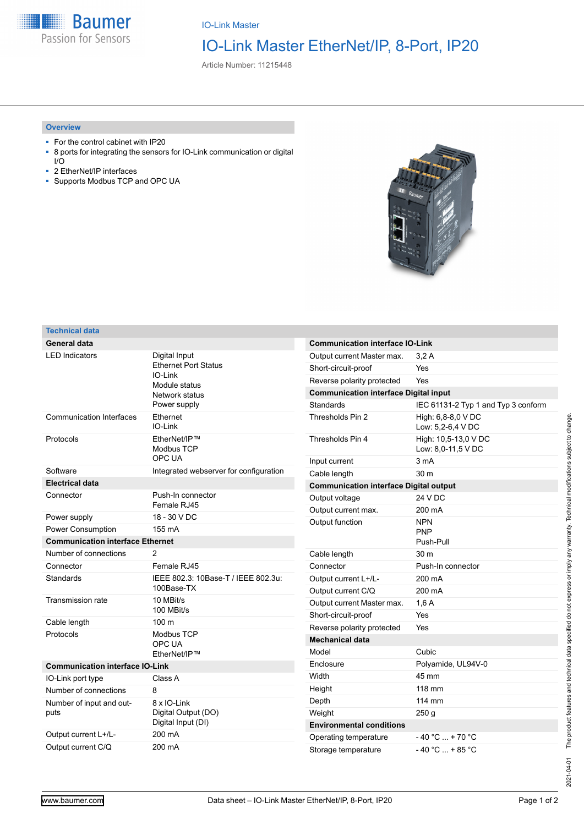

IO-Link Master

## IO-Link Master EtherNet/IP, 8-Port, IP20

Article Number: 11215448

## **Overview**

- For the control cabinet with IP20
- 8 ports for integrating the sensors for IO-Link communication or digital I/O
- 2 EtherNet/IP interfaces
- Supports Modbus TCP and OPC UA



## **Technical data**

| General data                            |                                                                                                               |
|-----------------------------------------|---------------------------------------------------------------------------------------------------------------|
| <b>LED Indicators</b>                   | Digital Input<br><b>Ethernet Port Status</b><br>$IO-I$ ink<br>Module status<br>Network status<br>Power supply |
| <b>Communication Interfaces</b>         | Ethernet<br>IO-Link                                                                                           |
| Protocols                               | EtherNet/IP™<br>Modbus TCP<br>OPC UA                                                                          |
| Software                                | Integrated webserver for configuration                                                                        |
| <b>Electrical data</b>                  |                                                                                                               |
| Connector                               | Push-In connector<br>Female RJ45                                                                              |
| Power supply                            | 18 - 30 V DC                                                                                                  |
| <b>Power Consumption</b>                | 155 mA                                                                                                        |
| <b>Communication interface Ethernet</b> |                                                                                                               |
| Number of connections                   |                                                                                                               |
|                                         | 2                                                                                                             |
| Connector                               | Female RJ45                                                                                                   |
| Standards                               | IEEE 802.3: 10Base-T / IEEE 802.3u:<br>100Base-TX                                                             |
| <b>Transmission rate</b>                | 10 MBit/s<br>100 MBit/s                                                                                       |
| Cable length                            | 100 <sub>m</sub>                                                                                              |
| Protocols                               | Modbus TCP<br>OPC UA<br>EtherNet/IP™                                                                          |
| <b>Communication interface IO-Link</b>  |                                                                                                               |
| IO-Link port type                       | Class A                                                                                                       |
| Number of connections                   | 8                                                                                                             |
| Number of input and out-<br>puts        | 8 x IO-Link<br>Digital Output (DO)<br>Digital Input (DI)                                                      |
| Output current L+/L-                    | 200 mA                                                                                                        |

| <b>Communication interface IO-Link</b>        |                                            |  |
|-----------------------------------------------|--------------------------------------------|--|
| Output current Master max.                    | 3.2A                                       |  |
| Short-circuit-proof                           | Yes                                        |  |
| Reverse polarity protected                    | Yes                                        |  |
| <b>Communication interface Digital input</b>  |                                            |  |
| Standards                                     | IEC 61131-2 Typ 1 and Typ 3 conform        |  |
| Thresholds Pin 2                              | High: 6,8-8,0 V DC<br>Low: 5,2-6,4 V DC    |  |
| Thresholds Pin 4                              | High: 10,5-13,0 V DC<br>Low: 8,0-11,5 V DC |  |
| Input current                                 | 3 <sub>m</sub> A                           |  |
| Cable length                                  | 30 m                                       |  |
| <b>Communication interface Digital output</b> |                                            |  |
| Output voltage                                | 24 V DC                                    |  |
| Output current max.                           | 200 mA                                     |  |
| Output function                               | <b>NPN</b><br><b>PNP</b><br>Push-Pull      |  |
| Cable length                                  | 30 m                                       |  |
| Connector                                     | Push-In connector                          |  |
| Output current L+/L-                          | 200 mA                                     |  |
| Output current C/Q                            | 200 mA                                     |  |
| Output current Master max.                    | 1,6A                                       |  |
| Short-circuit-proof                           | Yes                                        |  |
| Reverse polarity protected                    | Yes                                        |  |
| <b>Mechanical data</b>                        |                                            |  |
| Model                                         | Cubic                                      |  |
| Enclosure                                     | Polyamide, UL94V-0                         |  |
| Width                                         | 45 mm                                      |  |
| Height                                        | 118 mm                                     |  |
| Depth                                         | 114 mm                                     |  |
| Weight                                        | 250 <sub>g</sub>                           |  |
| <b>Environmental conditions</b>               |                                            |  |
| Operating temperature                         | $-40 °C  + 70 °C$                          |  |
| Storage temperature                           | $-40 °C  + 85 °C$                          |  |